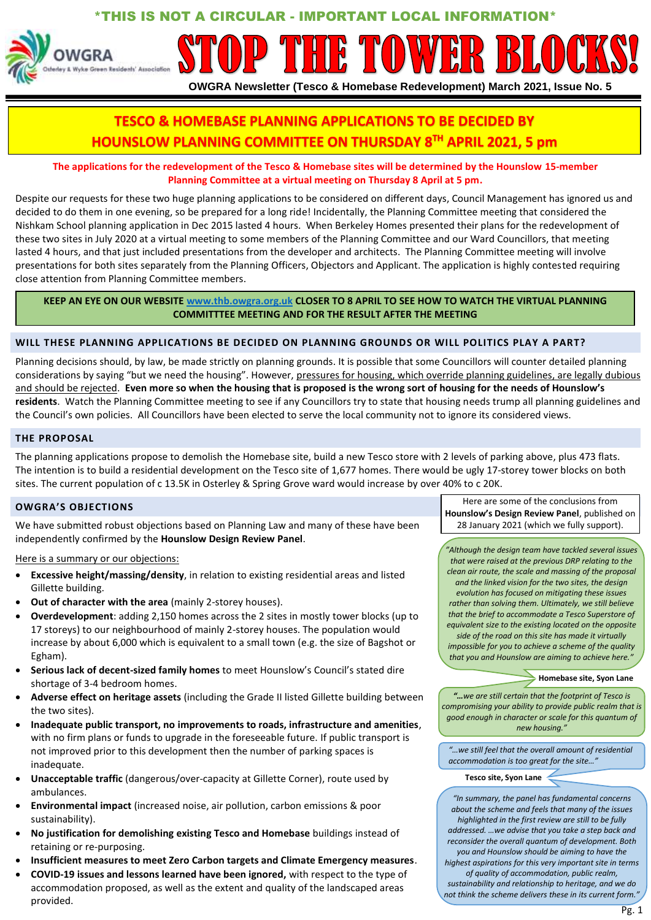# \*THIS IS NOT A CIRCULAR - IMPORTANT LOCAL INFORMATION\*



# **OWGRA Newsletter (Tesco & Homebase Redevelopment) March 2021, Issue No. 5**

# **TESCO & HOMEBASE PLANNING APPLICATIONS TO BE DECIDED BY HOUNSLOW PLANNING COMMITTEE ON THURSDAY 8TH APRIL 2021, 5 pm**

# **The applications for the redevelopment of the Tesco & Homebase sites will be determined by the Hounslow 15-member Planning Committee at a virtual meeting on Thursday 8 April at 5 pm.**

Despite our requests for these two huge planning applications to be considered on different days, Council Management has ignored us and decided to do them in one evening, so be prepared for a long ride! Incidentally, the Planning Committee meeting that considered the Nishkam School planning application in Dec 2015 lasted 4 hours. When Berkeley Homes presented their plans for the redevelopment of these two sites in July 2020 at a virtual meeting to some members of the Planning Committee and our Ward Councillors, that meeting lasted 4 hours, and that just included presentations from the developer and architects. The Planning Committee meeting will involve presentations for both sites separately from the Planning Officers, Objectors and Applicant. The application is highly contested requiring close attention from Planning Committee members.

# **KEEP AN EYE ON OUR WEBSIT[E www.thb.owgra.org.uk](http://www.thb.owgra.org.uk/) CLOSER TO 8 APRIL TO SEE HOW TO WATCH THE VIRTUAL PLANNING COMMITTTEE MEETING AND FOR THE RESULT AFTER THE MEETING**

# **WILL THESE PLANNING APPLICATIONS BE DECIDED ON PLANNING GROUNDS OR WILL POLITICS PLAY A PART?**

Planning decisions should, by law, be made strictly on planning grounds. It is possible that some Councillors will counter detailed planning considerations by saying "but we need the housing". However, pressures for housing, which override planning guidelines, are legally dubious and should be rejected. **Even more so when the housing that is proposed is the wrong sort of housing for the needs of Hounslow's residents**. Watch the Planning Committee meeting to see if any Councillors try to state that housing needs trump all planning guidelines and the Council's own policies. All Councillors have been elected to serve the local community not to ignore its considered views.

# **THE PROPOSAL**

The planning applications propose to demolish the Homebase site, build a new Tesco store with 2 levels of parking above, plus 473 flats. The intention is to build a residential development on the Tesco site of 1,677 homes. There would be ugly 17-storey tower blocks on both sites. The current population of c 13.5K in Osterley & Spring Grove ward would increase by over 40% to c 20K.

# **OWGRA'S OBJECTIONS**

We have submitted robust objections based on Planning Law and many of these have been independently confirmed by the **Hounslow Design Review Panel**.

Here is a summary or our objections:

- **Excessive height/massing/density**, in relation to existing residential areas and listed Gillette building.
- **Out of character with the area** (mainly 2-storey houses).
- **Overdevelopment**: adding 2,150 homes across the 2 sites in mostly tower blocks (up to 17 storeys) to our neighbourhood of mainly 2-storey houses. The population would increase by about 6,000 which is equivalent to a small town (e.g. the size of Bagshot or Egham).
- **Serious lack of decent-sized family homes** to meet Hounslow's Council's stated dire shortage of 3-4 bedroom homes.
- **Adverse effect on heritage assets** (including the Grade II listed Gillette building between the two sites).
- **Inadequate public transport, no improvements to roads, infrastructure and amenities**, with no firm plans or funds to upgrade in the foreseeable future. If public transport is not improved prior to this development then the number of parking spaces is inadequate.
- **Unacceptable traffic** (dangerous/over-capacity at Gillette Corner), route used by ambulances.
- **Environmental impact** (increased noise, air pollution, carbon emissions & poor sustainability).
- **No justification for demolishing existing Tesco and Homebase** buildings instead of retaining or re-purposing.
- **Insufficient measures to meet Zero Carbon targets and Climate Emergency measures**.
- **COVID-19 issues and lessons learned have been ignored,** with respect to the type of accommodation proposed, as well as the extent and quality of the landscaped areas provided.

Here are some of the conclusions from **Hounslow's Design Review Panel**, published on 28 January 2021 (which we fully support).

*"Although the design team have tackled several issues that were raised at the previous DRP relating to the clean air route, the scale and massing of the proposal and the linked vision for the two sites, the design evolution has focused on mitigating these issues rather than solving them. Ultimately, we still believe that the brief to accommodate a Tesco Superstore of equivalent size to the existing located on the opposite side of the road on this site has made it virtually impossible for you to achieve a scheme of the quality that you and Hounslow are aiming to achieve here."*

### **Homebase site, Syon Lane**

*"…we are still certain that the footprint of Tesco is compromising your ability to provide public realm that is good enough in character or scale for this quantum of new housing."*

*"…we still feel that the overall amount of residential accommodation is too great for the site…"*

**Tesco site, Syon Lane**

*"In summary, the panel has fundamental concerns about the scheme and feels that many of the issues highlighted in the first review are still to be fully addressed. …we advise that you take a step back and reconsider the overall quantum of development. Both you and Hounslow should be aiming to have the highest aspirations for this very important site in terms of quality of accommodation, public realm, sustainability and relationship to heritage, and we do not think the scheme delivers these in its current form."*